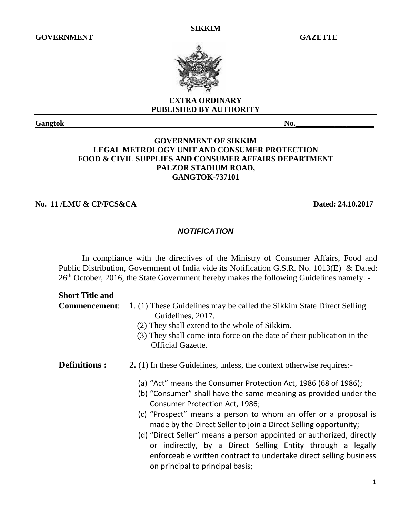**SIKKIM**



### **EXTRA ORDINARY PUBLISHED BY AUTHORITY**

# **GOVERNMENT OF SIKKIM LEGAL METROLOGY UNIT AND CONSUMER PROTECTION FOOD & CIVIL SUPPLIES AND CONSUMER AFFAIRS DEPARTMENT PALZOR STADIUM ROAD, GANGTOK-737101**

**No. 11 /LMU & CP/FCS&CA Dated: 24.10.2017**

# *NOTIFICATION*

In compliance with the directives of the Ministry of Consumer Affairs, Food and Public Distribution, Government of India vide its Notification G.S.R. No. 1013(E) & Dated: 26<sup>th</sup> October, 2016, the State Government hereby makes the following Guidelines namely: -

#### **Short Title and**

**Commencement**: **1**. (1) These Guidelines may be called the Sikkim State Direct Selling Guidelines, 2017.

- (2) They shall extend to the whole of Sikkim.
- (3) They shall come into force on the date of their publication in the Official Gazette.
- **Definitions : 2.** (1) In these Guidelines, unless, the context otherwise requires:-
	- (a) "Act" means the Consumer Protection Act, 1986 (68 of 1986);
	- (b) "Consumer" shall have the same meaning as provided under the Consumer Protection Act, 1986;
	- (c) "Prospect" means a person to whom an offer or a proposal is made by the Direct Seller to join a Direct Selling opportunity;
	- (d) "Direct Seller" means a person appointed or authorized, directly or indirectly, by a Direct Selling Entity through a legally enforceable written contract to undertake direct selling business on principal to principal basis;

**Gangtok** No.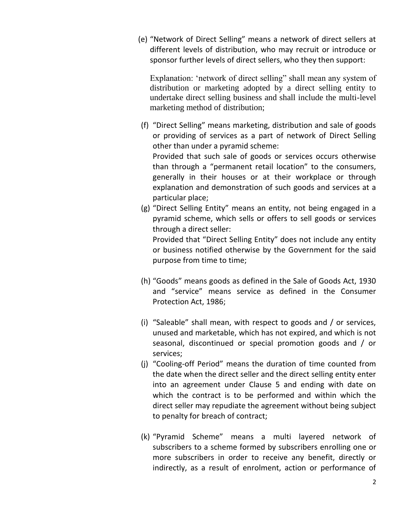(e) "Network of Direct Selling" means a network of direct sellers at different levels of distribution, who may recruit or introduce or sponsor further levels of direct sellers, who they then support:

Explanation: 'network of direct selling" shall mean any system of distribution or marketing adopted by a direct selling entity to undertake direct selling business and shall include the multi-level marketing method of distribution;

- (f) "Direct Selling" means marketing, distribution and sale of goods or providing of services as a part of network of Direct Selling other than under a pyramid scheme: Provided that such sale of goods or services occurs otherwise than through a "permanent retail location" to the consumers, generally in their houses or at their workplace or through explanation and demonstration of such goods and services at a particular place;
- (g) "Direct Selling Entity" means an entity, not being engaged in a pyramid scheme, which sells or offers to sell goods or services through a direct seller: Provided that "Direct Selling Entity" does not include any entity or business notified otherwise by the Government for the said purpose from time to time;
- (h) "Goods" means goods as defined in the Sale of Goods Act, 1930 and "service" means service as defined in the Consumer Protection Act, 1986;
- (i) "Saleable" shall mean, with respect to goods and / or services, unused and marketable, which has not expired, and which is not seasonal, discontinued or special promotion goods and / or services;
- (j) "Cooling-off Period" means the duration of time counted from the date when the direct seller and the direct selling entity enter into an agreement under Clause 5 and ending with date on which the contract is to be performed and within which the direct seller may repudiate the agreement without being subject to penalty for breach of contract;
- (k) "Pyramid Scheme" means a multi layered network of subscribers to a scheme formed by subscribers enrolling one or more subscribers in order to receive any benefit, directly or indirectly, as a result of enrolment, action or performance of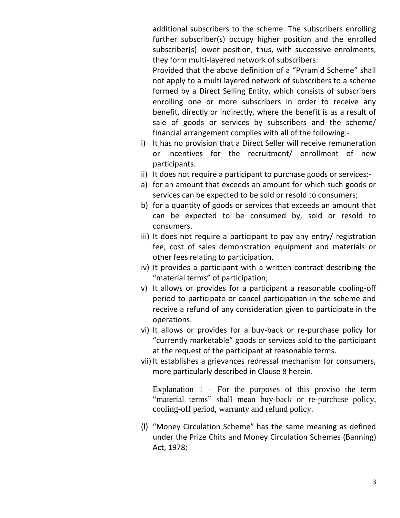additional subscribers to the scheme. The subscribers enrolling further subscriber(s) occupy higher position and the enrolled subscriber(s) lower position, thus, with successive enrolments, they form multi-layered network of subscribers:

Provided that the above definition of a "Pyramid Scheme" shall not apply to a multi layered network of subscribers to a scheme formed by a Direct Selling Entity, which consists of subscribers enrolling one or more subscribers in order to receive any benefit, directly or indirectly, where the benefit is as a result of sale of goods or services by subscribers and the scheme/ financial arrangement complies with all of the following:-

- i) It has no provision that a Direct Seller will receive remuneration or incentives for the recruitment/ enrollment of new participants.
- ii) It does not require a participant to purchase goods or services:-
- a) for an amount that exceeds an amount for which such goods or services can be expected to be sold or resold to consumers;
- b) for a quantity of goods or services that exceeds an amount that can be expected to be consumed by, sold or resold to consumers.
- iii) It does not require a participant to pay any entry/ registration fee, cost of sales demonstration equipment and materials or other fees relating to participation.
- iv) It provides a participant with a written contract describing the "material terms" of participation;
- v) It allows or provides for a participant a reasonable cooling-off period to participate or cancel participation in the scheme and receive a refund of any consideration given to participate in the operations.
- vi) It allows or provides for a buy-back or re-purchase policy for "currently marketable" goods or services sold to the participant at the request of the participant at reasonable terms.
- vii) It establishes a grievances redressal mechanism for consumers, more particularly described in Clause 8 herein.

Explanation  $1$  – For the purposes of this proviso the term "material terms" shall mean buy-back or re-purchase policy, cooling-off period, warranty and refund policy.

(l) "Money Circulation Scheme" has the same meaning as defined under the Prize Chits and Money Circulation Schemes (Banning) Act, 1978;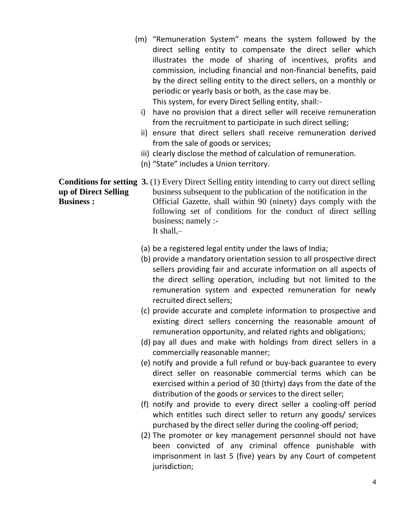- (m) "Remuneration System" means the system followed by the direct selling entity to compensate the direct seller which illustrates the mode of sharing of incentives, profits and commission, including financial and non-financial benefits, paid by the direct selling entity to the direct sellers, on a monthly or periodic or yearly basis or both, as the case may be. This system, for every Direct Selling entity, shall:
	- i) have no provision that a direct seller will receive remuneration from the recruitment to participate in such direct selling;
	- ii) ensure that direct sellers shall receive remuneration derived from the sale of goods or services;
	- iii) clearly disclose the method of calculation of remuneration.
	- (n) "State" includes a Union territory.

**Conditions for setting 3.** (1) Every Direct Selling entity intending to carry out direct selling **up of Direct Selling** business subsequent to the publication of the notification in the **Business :** Official Gazette, shall within 90 (ninety) days comply with the following set of conditions for the conduct of direct selling business; namely :- It shall,–

- (a) be a registered legal entity under the laws of India;
- (b) provide a mandatory orientation session to all prospective direct sellers providing fair and accurate information on all aspects of the direct selling operation, including but not limited to the remuneration system and expected remuneration for newly recruited direct sellers;
- (c) provide accurate and complete information to prospective and existing direct sellers concerning the reasonable amount of remuneration opportunity, and related rights and obligations;
- (d) pay all dues and make with holdings from direct sellers in a commercially reasonable manner;
- (e) notify and provide a full refund or buy-back guarantee to every direct seller on reasonable commercial terms which can be exercised within a period of 30 (thirty) days from the date of the distribution of the goods or services to the direct seller;
- (f) notify and provide to every direct seller a cooling-off period which entitles such direct seller to return any goods/ services purchased by the direct seller during the cooling-off period;
- (2) The promoter or key management personnel should not have been convicted of any criminal offence punishable with imprisonment in last 5 (five) years by any Court of competent jurisdiction;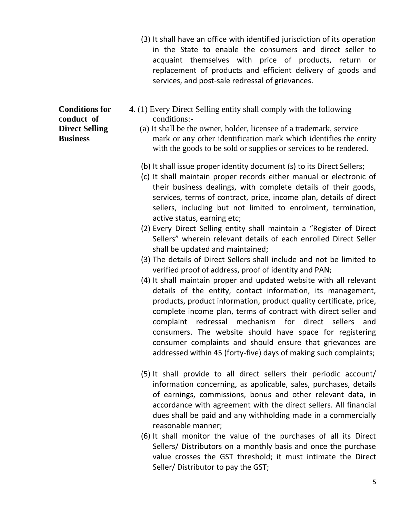- (3) It shall have an office with identified jurisdiction of its operation in the State to enable the consumers and direct seller to acquaint themselves with price of products, return or replacement of products and efficient delivery of goods and services, and post-sale redressal of grievances.
- **Conditions for 4**. (1) Every Direct Selling entity shall comply with the following **conduct of** conditions:-
- **Direct Selling** (a) It shall be the owner, holder, licensee of a trademark, service **Business** mark or any other identification mark which identifies the entity with the goods to be sold or supplies or services to be rendered.
	- (b) It shall issue proper identity document (s) to its Direct Sellers;
	- (c) It shall maintain proper records either manual or electronic of their business dealings, with complete details of their goods, services, terms of contract, price, income plan, details of direct sellers, including but not limited to enrolment, termination, active status, earning etc;
	- (2) Every Direct Selling entity shall maintain a "Register of Direct Sellers" wherein relevant details of each enrolled Direct Seller shall be updated and maintained;
	- (3) The details of Direct Sellers shall include and not be limited to verified proof of address, proof of identity and PAN;
	- (4) It shall maintain proper and updated website with all relevant details of the entity, contact information, its management, products, product information, product quality certificate, price, complete income plan, terms of contract with direct seller and complaint redressal mechanism for direct sellers and consumers. The website should have space for registering consumer complaints and should ensure that grievances are addressed within 45 (forty-five) days of making such complaints;
	- (5) It shall provide to all direct sellers their periodic account/ information concerning, as applicable, sales, purchases, details of earnings, commissions, bonus and other relevant data, in accordance with agreement with the direct sellers. All financial dues shall be paid and any withholding made in a commercially reasonable manner;
	- (6) It shall monitor the value of the purchases of all its Direct Sellers/ Distributors on a monthly basis and once the purchase value crosses the GST threshold; it must intimate the Direct Seller/ Distributor to pay the GST;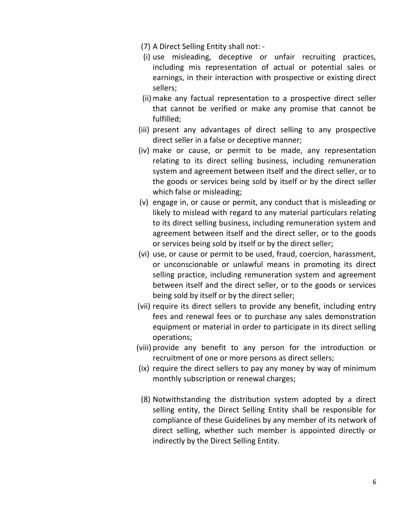- (7) A Direct Selling Entity shall not: -
- (i) use misleading, deceptive or unfair recruiting practices, including mis representation of actual or potential sales or earnings, in their interaction with prospective or existing direct sellers;
- (ii) make any factual representation to a prospective direct seller that cannot be verified or make any promise that cannot be fulfilled;
- (iii) present any advantages of direct selling to any prospective direct seller in a false or deceptive manner;
- (iv) make or cause, or permit to be made, any representation relating to its direct selling business, including remuneration system and agreement between itself and the direct seller, or to the goods or services being sold by itself or by the direct seller which false or misleading;
- (v) engage in, or cause or permit, any conduct that is misleading or likely to mislead with regard to any material particulars relating to its direct selling business, including remuneration system and agreement between itself and the direct seller, or to the goods or services being sold by itself or by the direct seller;
- (vi) use, or cause or permit to be used, fraud, coercion, harassment, or unconscionable or unlawful means in promoting its direct selling practice, including remuneration system and agreement between itself and the direct seller, or to the goods or services being sold by itself or by the direct seller;
- (vii) require its direct sellers to provide any benefit, including entry fees and renewal fees or to purchase any sales demonstration equipment or material in order to participate in its direct selling operations;
- (viii) provide any benefit to any person for the introduction or recruitment of one or more persons as direct sellers;
- (ix) require the direct sellers to pay any money by way of minimum monthly subscription or renewal charges;
- (8) Notwithstanding the distribution system adopted by a direct selling entity, the Direct Selling Entity shall be responsible for compliance of these Guidelines by any member of its network of direct selling, whether such member is appointed directly or indirectly by the Direct Selling Entity.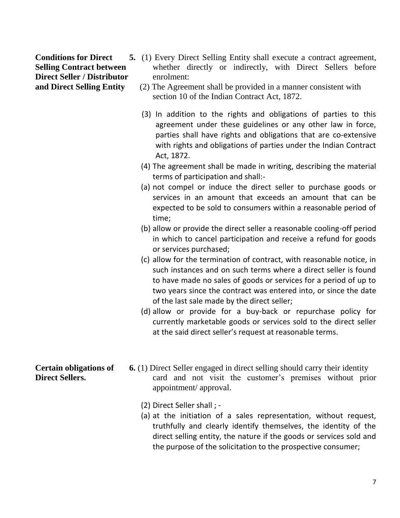**Direct Seller / Distributor** enrolment:

- **Conditions for Direct** 5. (1) Every Direct Selling Entity shall execute a contract agreement, **Selling Contract between** whether directly or indirectly, with Direct Sellers before
- **and Direct Selling Entity** (2) The Agreement shall be provided in a manner consistent with section 10 of the Indian Contract Act, 1872.
	- (3) In addition to the rights and obligations of parties to this agreement under these guidelines or any other law in force, parties shall have rights and obligations that are co-extensive with rights and obligations of parties under the Indian Contract Act, 1872.
	- (4) The agreement shall be made in writing, describing the material terms of participation and shall:-
	- (a) not compel or induce the direct seller to purchase goods or services in an amount that exceeds an amount that can be expected to be sold to consumers within a reasonable period of time;
	- (b) allow or provide the direct seller a reasonable cooling-off period in which to cancel participation and receive a refund for goods or services purchased;
	- (c) allow for the termination of contract, with reasonable notice, in such instances and on such terms where a direct seller is found to have made no sales of goods or services for a period of up to two years since the contract was entered into, or since the date of the last sale made by the direct seller;
	- (d) allow or provide for a buy-back or repurchase policy for currently marketable goods or services sold to the direct seller at the said direct seller's request at reasonable terms.
- **Certain obligations of** 6. (1) Direct Seller engaged in direct selling should carry their identity **Direct Sellers.** card and not visit the customer's premises without prior appointment/ approval.
	- (2) Direct Seller shall ; -
	- (a) at the initiation of a sales representation, without request, truthfully and clearly identify themselves, the identity of the direct selling entity, the nature if the goods or services sold and the purpose of the solicitation to the prospective consumer;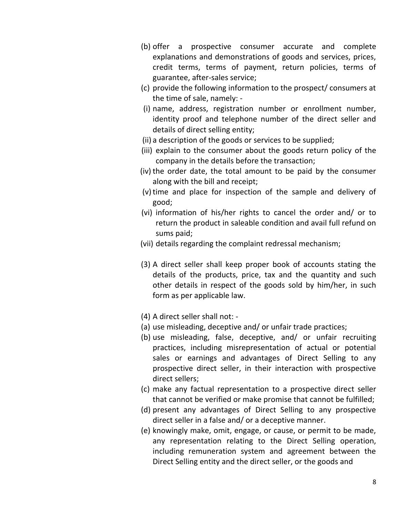- (b) offer a prospective consumer accurate and complete explanations and demonstrations of goods and services, prices, credit terms, terms of payment, return policies, terms of guarantee, after-sales service;
- (c) provide the following information to the prospect/ consumers at the time of sale, namely: -
- (i) name, address, registration number or enrollment number, identity proof and telephone number of the direct seller and details of direct selling entity;
- (ii) a description of the goods or services to be supplied;
- (iii) explain to the consumer about the goods return policy of the company in the details before the transaction;
- (iv) the order date, the total amount to be paid by the consumer along with the bill and receipt;
- (v) time and place for inspection of the sample and delivery of good;
- (vi) information of his/her rights to cancel the order and/ or to return the product in saleable condition and avail full refund on sums paid;
- (vii) details regarding the complaint redressal mechanism;
- (3) A direct seller shall keep proper book of accounts stating the details of the products, price, tax and the quantity and such other details in respect of the goods sold by him/her, in such form as per applicable law.
- (4) A direct seller shall not: -
- (a) use misleading, deceptive and/ or unfair trade practices;
- (b) use misleading, false, deceptive, and/ or unfair recruiting practices, including misrepresentation of actual or potential sales or earnings and advantages of Direct Selling to any prospective direct seller, in their interaction with prospective direct sellers;
- (c) make any factual representation to a prospective direct seller that cannot be verified or make promise that cannot be fulfilled;
- (d) present any advantages of Direct Selling to any prospective direct seller in a false and/ or a deceptive manner.
- (e) knowingly make, omit, engage, or cause, or permit to be made, any representation relating to the Direct Selling operation, including remuneration system and agreement between the Direct Selling entity and the direct seller, or the goods and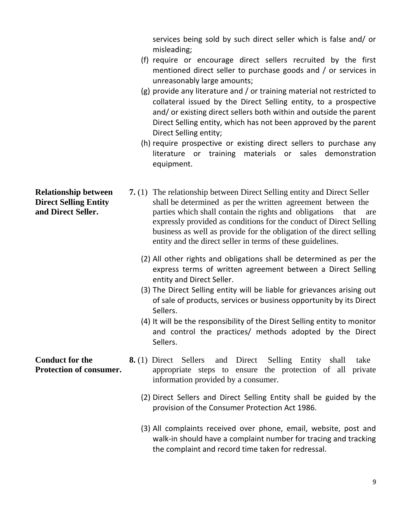services being sold by such direct seller which is false and/ or misleading;

- (f) require or encourage direct sellers recruited by the first mentioned direct seller to purchase goods and / or services in unreasonably large amounts;
- (g) provide any literature and / or training material not restricted to collateral issued by the Direct Selling entity, to a prospective and/ or existing direct sellers both within and outside the parent Direct Selling entity, which has not been approved by the parent Direct Selling entity;
- (h) require prospective or existing direct sellers to purchase any literature or training materials or sales demonstration equipment.
- **Relationship between** 7. (1) The relationship between Direct Selling entity and Direct Seller **Direct Selling Entity** shall be determined as per the written agreement between the **and Direct Seller.** parties which shall contain the rights and obligations that are expressly provided as conditions for the conduct of Direct Selling business as well as provide for the obligation of the direct selling entity and the direct seller in terms of these guidelines.
	- (2) All other rights and obligations shall be determined as per the express terms of written agreement between a Direct Selling entity and Direct Seller.
	- (3) The Direct Selling entity will be liable for grievances arising out of sale of products, services or business opportunity by its Direct Sellers.
	- (4) It will be the responsibility of the Direst Selling entity to monitor and control the practices/ methods adopted by the Direct Sellers.
- **Conduct for the 8.** (1) Direct Sellers and Direct Selling Entity shall take **Protection of consumer.** appropriate steps to ensure the protection of all private information provided by a consumer.
	- (2) Direct Sellers and Direct Selling Entity shall be guided by the provision of the Consumer Protection Act 1986.
	- (3) All complaints received over phone, email, website, post and walk-in should have a complaint number for tracing and tracking the complaint and record time taken for redressal.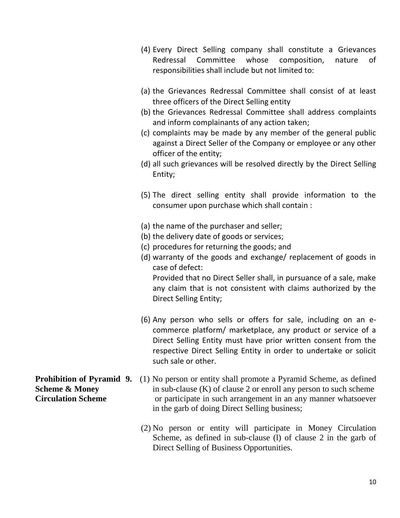- (4) Every Direct Selling company shall constitute a Grievances Redressal Committee whose composition, nature of responsibilities shall include but not limited to:
- (a) the Grievances Redressal Committee shall consist of at least three officers of the Direct Selling entity
- (b) the Grievances Redressal Committee shall address complaints and inform complainants of any action taken;
- (c) complaints may be made by any member of the general public against a Direct Seller of the Company or employee or any other officer of the entity;
- (d) all such grievances will be resolved directly by the Direct Selling Entity;
- (5) The direct selling entity shall provide information to the consumer upon purchase which shall contain :
- (a) the name of the purchaser and seller;
- (b) the delivery date of goods or services;
- (c) procedures for returning the goods; and
- (d) warranty of the goods and exchange/ replacement of goods in case of defect: Provided that no Direct Seller shall, in pursuance of a sale, make any claim that is not consistent with claims authorized by the Direct Selling Entity;
- (6) Any person who sells or offers for sale, including on an ecommerce platform/ marketplace, any product or service of a Direct Selling Entity must have prior written consent from the respective Direct Selling Entity in order to undertake or solicit such sale or other.

- **Prohibition of Pyramid 9.** (1) No person or entity shall promote a Pyramid Scheme, as defined **Scheme & Money** in sub-clause (K) of clause 2 or enroll any person to such scheme **Circulation Scheme** or participate in such arrangement in an any manner whatsoever in the garb of doing Direct Selling business;
	- (2) No person or entity will participate in Money Circulation Scheme, as defined in sub-clause (l) of clause 2 in the garb of Direct Selling of Business Opportunities.